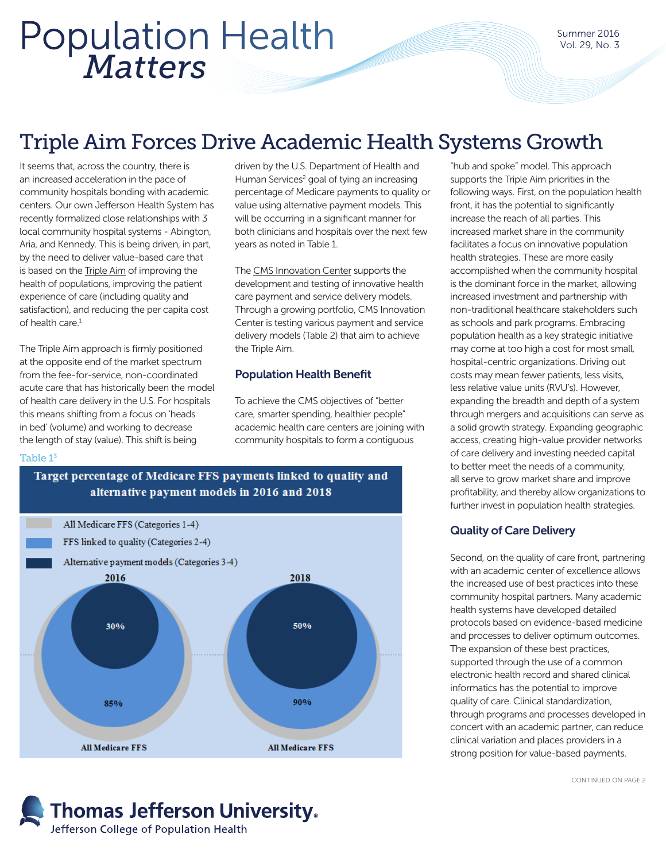# *Matters* Population Health

Summer 2016 Vol. 29, No. 3

# Triple Aim Forces Drive Academic Health Systems Growth

It seems that, across the country, there is an increased acceleration in the pace of community hospitals bonding with academic centers. Our own Jefferson Health System has recently formalized close relationships with 3 local community hospital systems - Abington, Aria, and Kennedy. This is being driven, in part, by the need to deliver value-based care that is based on the [Triple Aim](http://www.ihi.org/Engage/Initiatives/TripleAim/Pages/default.aspx) of improving the health of populations, improving the patient experience of care (including quality and satisfaction), and reducing the per capita cost of health care $<sup>1</sup>$ </sup>

The Triple Aim approach is firmly positioned at the opposite end of the market spectrum from the fee-for-service, non-coordinated acute care that has historically been the model of health care delivery in the U.S. For hospitals this means shifting from a focus on 'heads in bed' (volume) and working to decrease the length of stay (value). This shift is being

driven by the U.S. Department of Health and Human Services<sup>2</sup> goal of tying an increasing percentage of Medicare payments to quality or value using alternative payment models. This will be occurring in a significant manner for both clinicians and hospitals over the next few years as noted in Table 1.

The [CMS Innovation Center](https://innovation.cms.gov/index.html) supports the development and testing of innovative health care payment and service delivery models. Through a growing portfolio, CMS Innovation Center is testing various payment and service delivery models (Table 2) that aim to achieve the Triple Aim.

# Population Health Benefit

To achieve the CMS objectives of "better care, smarter spending, healthier people" academic health care centers are joining with community hospitals to form a contiguous

#### Table 13





"hub and spoke" model. This approach supports the Triple Aim priorities in the following ways. First, on the population health front, it has the potential to significantly increase the reach of all parties. This increased market share in the community facilitates a focus on innovative population health strategies. These are more easily accomplished when the community hospital is the dominant force in the market, allowing increased investment and partnership with non-traditional healthcare stakeholders such as schools and park programs. Embracing population health as a key strategic initiative may come at too high a cost for most small, hospital-centric organizations. Driving out costs may mean fewer patients, less visits, less relative value units (RVU's). However, expanding the breadth and depth of a system through mergers and acquisitions can serve as a solid growth strategy. Expanding geographic access, creating high-value provider networks of care delivery and investing needed capital to better meet the needs of a community, all serve to grow market share and improve profitability, and thereby allow organizations to further invest in population health strategies.

## Quality of Care Delivery

Second, on the quality of care front, partnering with an academic center of excellence allows the increased use of best practices into these community hospital partners. Many academic health systems have developed detailed protocols based on evidence-based medicine and processes to deliver optimum outcomes. The expansion of these best practices, supported through the use of a common electronic health record and shared clinical informatics has the potential to improve quality of care. Clinical standardization, through programs and processes developed in concert with an academic partner, can reduce clinical variation and places providers in a strong position for value-based payments.

CONTINUED ON PAGE 2